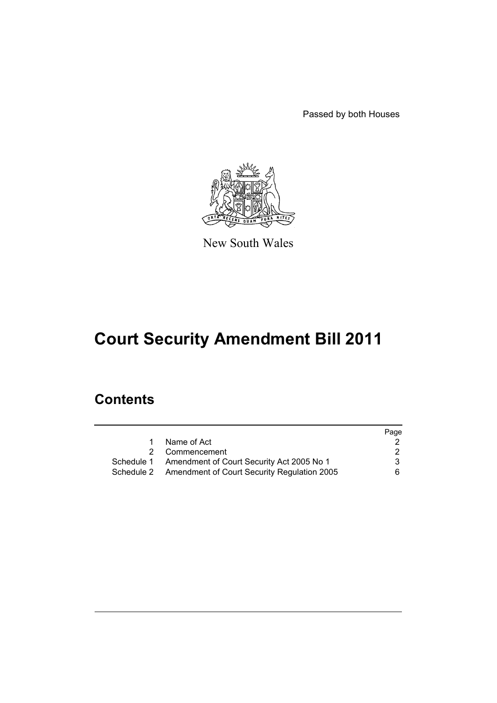Passed by both Houses



New South Wales

# **Court Security Amendment Bill 2011**

## **Contents**

|                                                        | Page |
|--------------------------------------------------------|------|
| Name of Act                                            |      |
| Commencement<br>2                                      | 2    |
| Schedule 1 Amendment of Court Security Act 2005 No 1   | 3    |
| Schedule 2 Amendment of Court Security Regulation 2005 | 6.   |
|                                                        |      |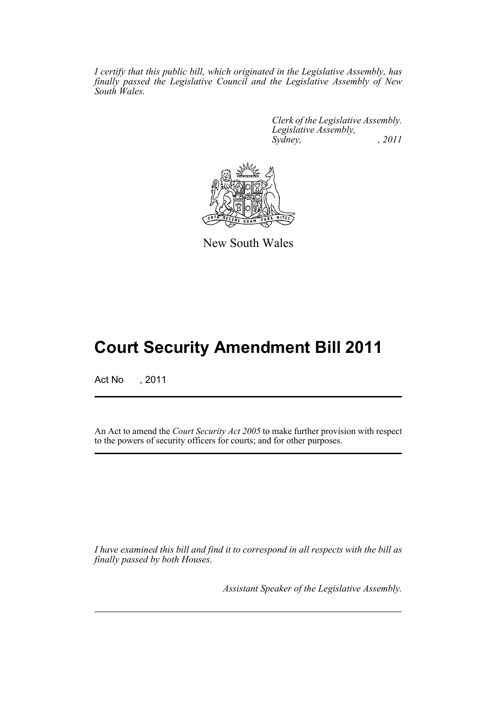*I certify that this public bill, which originated in the Legislative Assembly, has finally passed the Legislative Council and the Legislative Assembly of New South Wales.*

> *Clerk of the Legislative Assembly. Legislative Assembly, Sydney, , 2011*



New South Wales

## **Court Security Amendment Bill 2011**

Act No , 2011

An Act to amend the *Court Security Act 2005* to make further provision with respect to the powers of security officers for courts; and for other purposes.

*I have examined this bill and find it to correspond in all respects with the bill as finally passed by both Houses.*

*Assistant Speaker of the Legislative Assembly.*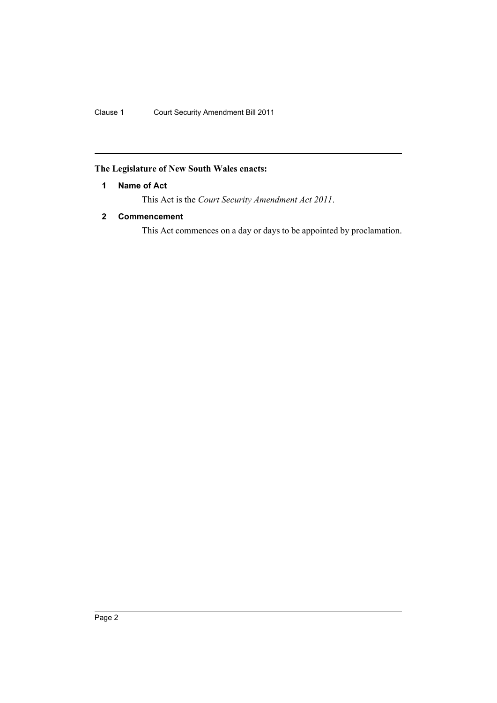Clause 1 Court Security Amendment Bill 2011

## <span id="page-3-0"></span>**The Legislature of New South Wales enacts:**

#### **1 Name of Act**

This Act is the *Court Security Amendment Act 2011*.

### <span id="page-3-1"></span>**2 Commencement**

This Act commences on a day or days to be appointed by proclamation.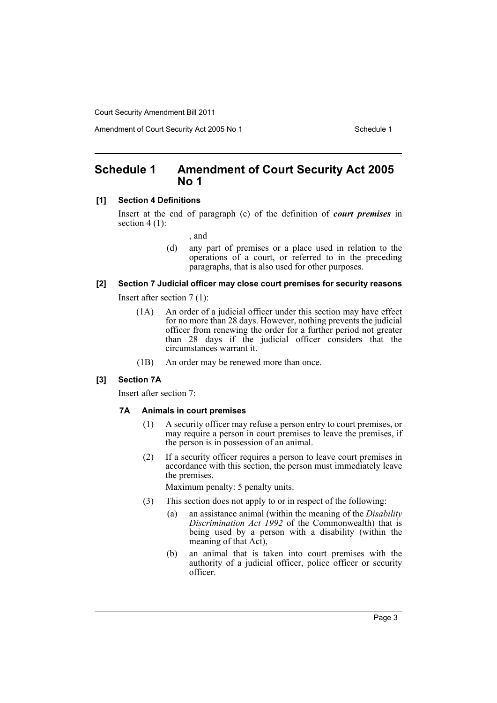## <span id="page-4-0"></span>**Schedule 1 Amendment of Court Security Act 2005 No 1**

#### **[1] Section 4 Definitions**

Insert at the end of paragraph (c) of the definition of *court premises* in section  $4(1)$ :

, and

(d) any part of premises or a place used in relation to the operations of a court, or referred to in the preceding paragraphs, that is also used for other purposes.

### **[2] Section 7 Judicial officer may close court premises for security reasons**

Insert after section 7 (1):

- (1A) An order of a judicial officer under this section may have effect for no more than 28 days. However, nothing prevents the judicial officer from renewing the order for a further period not greater than 28 days if the judicial officer considers that the circumstances warrant it.
- (1B) An order may be renewed more than once.

#### **[3] Section 7A**

Insert after section 7:

#### **7A Animals in court premises**

- (1) A security officer may refuse a person entry to court premises, or may require a person in court premises to leave the premises, if the person is in possession of an animal.
- (2) If a security officer requires a person to leave court premises in accordance with this section, the person must immediately leave the premises.

Maximum penalty: 5 penalty units.

- (3) This section does not apply to or in respect of the following:
	- (a) an assistance animal (within the meaning of the *Disability Discrimination Act 1992* of the Commonwealth) that is being used by a person with a disability (within the meaning of that Act),
	- (b) an animal that is taken into court premises with the authority of a judicial officer, police officer or security officer.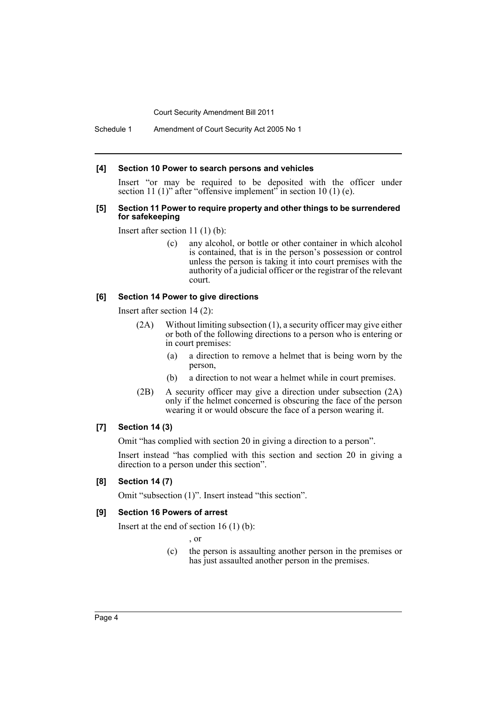Schedule 1 Amendment of Court Security Act 2005 No 1

#### **[4] Section 10 Power to search persons and vehicles**

Insert "or may be required to be deposited with the officer under section 11 (1)" after "offensive implement" in section 10 (1) (e).

#### **[5] Section 11 Power to require property and other things to be surrendered for safekeeping**

Insert after section 11 (1) (b):

(c) any alcohol, or bottle or other container in which alcohol is contained, that is in the person's possession or control unless the person is taking it into court premises with the authority of a judicial officer or the registrar of the relevant court.

#### **[6] Section 14 Power to give directions**

Insert after section 14 (2):

- (2A) Without limiting subsection (1), a security officer may give either or both of the following directions to a person who is entering or in court premises:
	- (a) a direction to remove a helmet that is being worn by the person,
	- (b) a direction to not wear a helmet while in court premises.
- (2B) A security officer may give a direction under subsection (2A) only if the helmet concerned is obscuring the face of the person wearing it or would obscure the face of a person wearing it.

#### **[7] Section 14 (3)**

Omit "has complied with section 20 in giving a direction to a person".

Insert instead "has complied with this section and section 20 in giving a direction to a person under this section".

#### **[8] Section 14 (7)**

Omit "subsection (1)". Insert instead "this section".

#### **[9] Section 16 Powers of arrest**

Insert at the end of section  $16(1)(b)$ :

, or

(c) the person is assaulting another person in the premises or has just assaulted another person in the premises.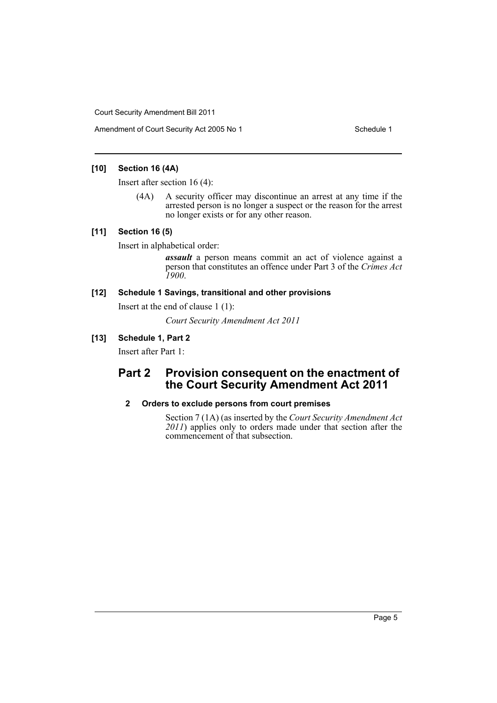Amendment of Court Security Act 2005 No 1 Schedule 1

#### **[10] Section 16 (4A)**

Insert after section 16 (4):

(4A) A security officer may discontinue an arrest at any time if the arrested person is no longer a suspect or the reason for the arrest no longer exists or for any other reason.

#### **[11] Section 16 (5)**

Insert in alphabetical order:

*assault* a person means commit an act of violence against a person that constitutes an offence under Part 3 of the *Crimes Act 1900*.

#### **[12] Schedule 1 Savings, transitional and other provisions**

Insert at the end of clause 1 (1):

*Court Security Amendment Act 2011*

#### **[13] Schedule 1, Part 2**

Insert after Part 1:

## **Part 2 Provision consequent on the enactment of the Court Security Amendment Act 2011**

#### **2 Orders to exclude persons from court premises**

Section 7 (1A) (as inserted by the *Court Security Amendment Act 2011*) applies only to orders made under that section after the commencement of that subsection.